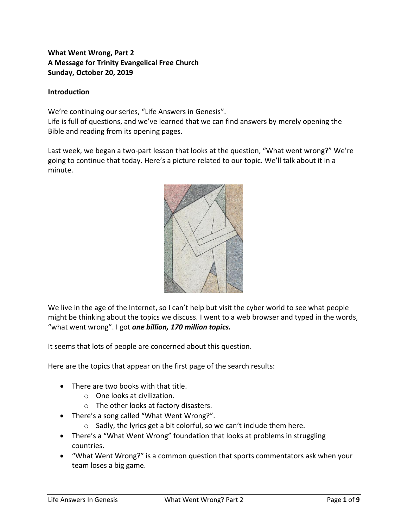# **What Went Wrong, Part 2 A Message for Trinity Evangelical Free Church Sunday, October 20, 2019**

## **Introduction**

We're continuing our series, "Life Answers in Genesis". Life is full of questions, and we've learned that we can find answers by merely opening the Bible and reading from its opening pages.

Last week, we began a two-part lesson that looks at the question, "What went wrong?" We're going to continue that today. Here's a picture related to our topic. We'll talk about it in a minute.



We live in the age of the Internet, so I can't help but visit the cyber world to see what people might be thinking about the topics we discuss. I went to a web browser and typed in the words, "what went wrong". I got *one billion, 170 million topics.*

It seems that lots of people are concerned about this question.

Here are the topics that appear on the first page of the search results:

- There are two books with that title.
	- o One looks at civilization.
	- o The other looks at factory disasters.
- There's a song called "What Went Wrong?".
	- o Sadly, the lyrics get a bit colorful, so we can't include them here.
- There's a "What Went Wrong" foundation that looks at problems in struggling countries.
- "What Went Wrong?" is a common question that sports commentators ask when your team loses a big game.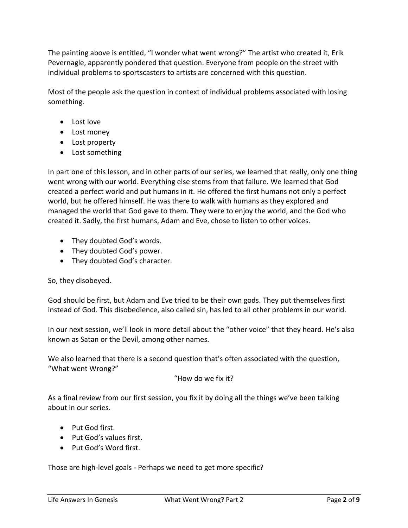The painting above is entitled, "I wonder what went wrong?" The artist who created it, Erik Pevernagle, apparently pondered that question. Everyone from people on the street with individual problems to sportscasters to artists are concerned with this question.

Most of the people ask the question in context of individual problems associated with losing something.

- Lost love
- Lost money
- Lost property
- Lost something

In part one of this lesson, and in other parts of our series, we learned that really, only one thing went wrong with our world. Everything else stems from that failure. We learned that God created a perfect world and put humans in it. He offered the first humans not only a perfect world, but he offered himself. He was there to walk with humans as they explored and managed the world that God gave to them. They were to enjoy the world, and the God who created it. Sadly, the first humans, Adam and Eve, chose to listen to other voices.

- They doubted God's words.
- They doubted God's power.
- They doubted God's character.

So, they disobeyed.

God should be first, but Adam and Eve tried to be their own gods. They put themselves first instead of God. This disobedience, also called sin, has led to all other problems in our world.

In our next session, we'll look in more detail about the "other voice" that they heard. He's also known as Satan or the Devil, among other names.

We also learned that there is a second question that's often associated with the question, "What went Wrong?"

"How do we fix it?

As a final review from our first session, you fix it by doing all the things we've been talking about in our series.

- Put God first.
- Put God's values first.
- Put God's Word first.

Those are high-level goals - Perhaps we need to get more specific?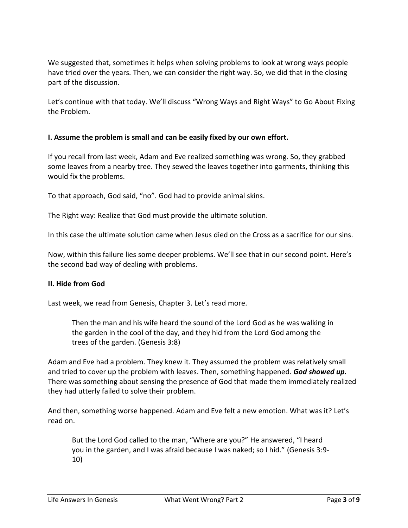We suggested that, sometimes it helps when solving problems to look at wrong ways people have tried over the years. Then, we can consider the right way. So, we did that in the closing part of the discussion.

Let's continue with that today. We'll discuss "Wrong Ways and Right Ways" to Go About Fixing the Problem.

## **I. Assume the problem is small and can be easily fixed by our own effort.**

If you recall from last week, Adam and Eve realized something was wrong. So, they grabbed some leaves from a nearby tree. They sewed the leaves together into garments, thinking this would fix the problems.

To that approach, God said, "no". God had to provide animal skins.

The Right way: Realize that God must provide the ultimate solution.

In this case the ultimate solution came when Jesus died on the Cross as a sacrifice for our sins.

Now, within this failure lies some deeper problems. We'll see that in our second point. Here's the second bad way of dealing with problems.

### **II. Hide from God**

Last week, we read from Genesis, Chapter 3. Let's read more.

Then the man and his wife heard the sound of the Lord God as he was walking in the garden in the cool of the day, and they hid from the Lord God among the trees of the garden. (Genesis 3:8)

Adam and Eve had a problem. They knew it. They assumed the problem was relatively small and tried to cover up the problem with leaves. Then, something happened. *God showed up.* There was something about sensing the presence of God that made them immediately realized they had utterly failed to solve their problem.

And then, something worse happened. Adam and Eve felt a new emotion. What was it? Let's read on.

But the Lord God called to the man, "Where are you?" He answered, "I heard you in the garden, and I was afraid because I was naked; so I hid." (Genesis 3:9- 10)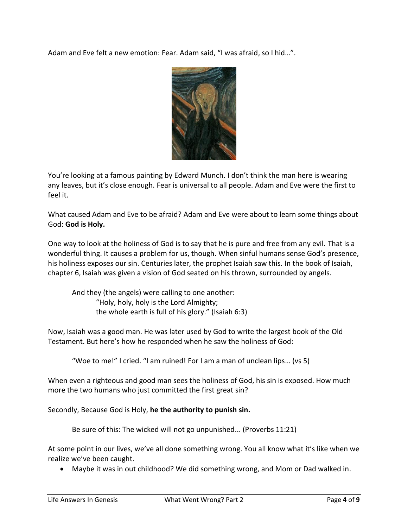Adam and Eve felt a new emotion: Fear. Adam said, "I was afraid, so I hid…".



You're looking at a famous painting by Edward Munch. I don't think the man here is wearing any leaves, but it's close enough. Fear is universal to all people. Adam and Eve were the first to feel it.

What caused Adam and Eve to be afraid? Adam and Eve were about to learn some things about God: **God is Holy.**

One way to look at the holiness of God is to say that he is pure and free from any evil. That is a wonderful thing. It causes a problem for us, though. When sinful humans sense God's presence, his holiness exposes our sin. Centuries later, the prophet Isaiah saw this. In the book of Isaiah, chapter 6, Isaiah was given a vision of God seated on his thrown, surrounded by angels.

And they (the angels) were calling to one another: "Holy, holy, holy is the Lord Almighty; the whole earth is full of his glory." (Isaiah 6:3)

Now, Isaiah was a good man. He was later used by God to write the largest book of the Old Testament. But here's how he responded when he saw the holiness of God:

"Woe to me!" I cried. "I am ruined! For I am a man of unclean lips… (vs 5)

When even a righteous and good man sees the holiness of God, his sin is exposed. How much more the two humans who just committed the first great sin?

Secondly, Because God is Holy, **he the authority to punish sin.**

Be sure of this: The wicked will not go unpunished... (Proverbs 11:21)

At some point in our lives, we've all done something wrong. You all know what it's like when we realize we've been caught.

• Maybe it was in out childhood? We did something wrong, and Mom or Dad walked in.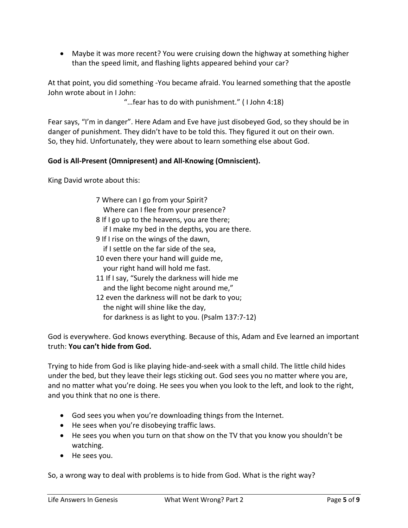• Maybe it was more recent? You were cruising down the highway at something higher than the speed limit, and flashing lights appeared behind your car?

At that point, you did something -You became afraid. You learned something that the apostle John wrote about in I John:

"…fear has to do with punishment." ( I John 4:18)

Fear says, "I'm in danger". Here Adam and Eve have just disobeyed God, so they should be in danger of punishment. They didn't have to be told this. They figured it out on their own. So, they hid. Unfortunately, they were about to learn something else about God.

## **God is All-Present (Omnipresent) and All-Knowing (Omniscient).**

King David wrote about this:

7 Where can I go from your Spirit? Where can I flee from your presence? 8 If I go up to the heavens, you are there; if I make my bed in the depths, you are there. 9 If I rise on the wings of the dawn, if I settle on the far side of the sea, 10 even there your hand will guide me, your right hand will hold me fast. 11 If I say, "Surely the darkness will hide me and the light become night around me," 12 even the darkness will not be dark to you; the night will shine like the day, for darkness is as light to you. (Psalm 137:7-12)

God is everywhere. God knows everything. Because of this, Adam and Eve learned an important truth: **You can't hide from God.**

Trying to hide from God is like playing hide-and-seek with a small child. The little child hides under the bed, but they leave their legs sticking out. God sees you no matter where you are, and no matter what you're doing. He sees you when you look to the left, and look to the right, and you think that no one is there.

- God sees you when you're downloading things from the Internet.
- He sees when you're disobeying traffic laws.
- He sees you when you turn on that show on the TV that you know you shouldn't be watching.
- He sees you.

So, a wrong way to deal with problems is to hide from God. What is the right way?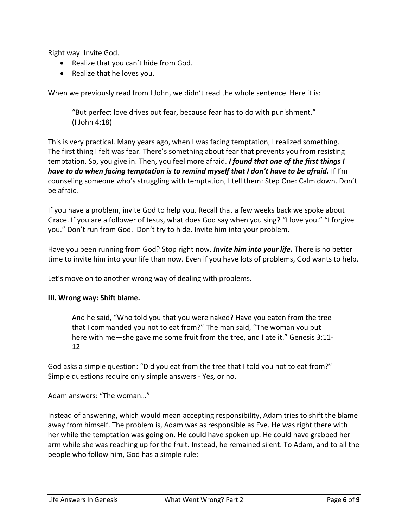Right way: Invite God.

- Realize that you can't hide from God.
- Realize that he loves you.

When we previously read from I John, we didn't read the whole sentence. Here it is:

"But perfect love drives out fear, because fear has to do with punishment." (I John 4:18)

This is very practical. Many years ago, when I was facing temptation, I realized something. The first thing I felt was fear. There's something about fear that prevents you from resisting temptation. So, you give in. Then, you feel more afraid. *I found that one of the first things I have to do when facing temptation is to remind myself that I don't have to be afraid.* If I'm counseling someone who's struggling with temptation, I tell them: Step One: Calm down. Don't be afraid.

If you have a problem, invite God to help you. Recall that a few weeks back we spoke about Grace. If you are a follower of Jesus, what does God say when you sing? "I love you." "I forgive you." Don't run from God. Don't try to hide. Invite him into your problem.

Have you been running from God? Stop right now. *Invite him into your life.* There is no better time to invite him into your life than now. Even if you have lots of problems, God wants to help.

Let's move on to another wrong way of dealing with problems.

### **III. Wrong way: Shift blame.**

And he said, "Who told you that you were naked? Have you eaten from the tree that I commanded you not to eat from?" The man said, "The woman you put here with me-she gave me some fruit from the tree, and I ate it." Genesis 3:11-12

God asks a simple question: "Did you eat from the tree that I told you not to eat from?" Simple questions require only simple answers - Yes, or no.

Adam answers: "The woman…"

Instead of answering, which would mean accepting responsibility, Adam tries to shift the blame away from himself. The problem is, Adam was as responsible as Eve. He was right there with her while the temptation was going on. He could have spoken up. He could have grabbed her arm while she was reaching up for the fruit. Instead, he remained silent. To Adam, and to all the people who follow him, God has a simple rule: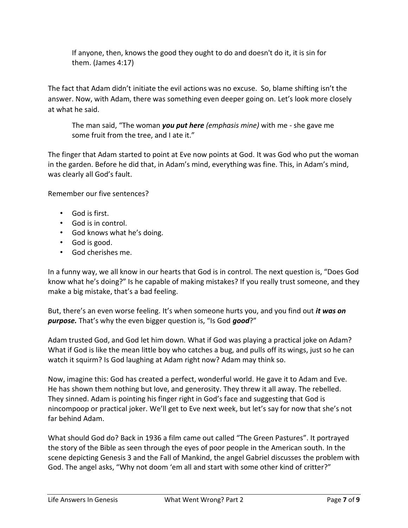If anyone, then, knows the good they ought to do and doesn't do it, it is sin for them. (James 4:17)

The fact that Adam didn't initiate the evil actions was no excuse. So, blame shifting isn't the answer. Now, with Adam, there was something even deeper going on. Let's look more closely at what he said.

The man said, "The woman *you put here (emphasis mine)* with me - she gave me some fruit from the tree, and I ate it."

The finger that Adam started to point at Eve now points at God. It was God who put the woman in the garden. Before he did that, in Adam's mind, everything was fine. This, in Adam's mind, was clearly all God's fault.

Remember our five sentences?

- God is first.
- God is in control.
- God knows what he's doing.
- God is good.
- God cherishes me.

In a funny way, we all know in our hearts that God is in control. The next question is, "Does God know what he's doing?" Is he capable of making mistakes? If you really trust someone, and they make a big mistake, that's a bad feeling.

But, there's an even worse feeling. It's when someone hurts you, and you find out *it was on purpose.* That's why the even bigger question is, "Is God *good*?"

Adam trusted God, and God let him down. What if God was playing a practical joke on Adam? What if God is like the mean little boy who catches a bug, and pulls off its wings, just so he can watch it squirm? Is God laughing at Adam right now? Adam may think so.

Now, imagine this: God has created a perfect, wonderful world. He gave it to Adam and Eve. He has shown them nothing but love, and generosity. They threw it all away. The rebelled. They sinned. Adam is pointing his finger right in God's face and suggesting that God is nincompoop or practical joker. We'll get to Eve next week, but let's say for now that she's not far behind Adam.

What should God do? Back in 1936 a film came out called "The Green Pastures". It portrayed the story of the Bible as seen through the eyes of poor people in the American south. In the scene depicting Genesis 3 and the Fall of Mankind, the angel Gabriel discusses the problem with God. The angel asks, "Why not doom 'em all and start with some other kind of critter?"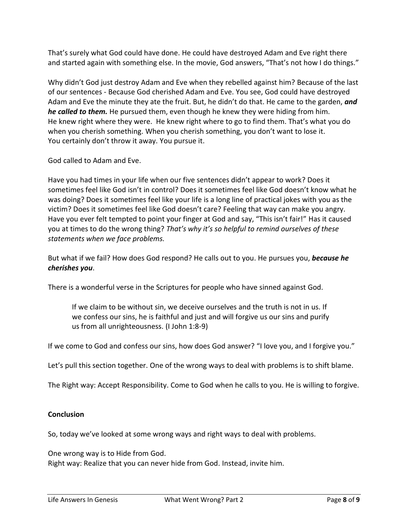That's surely what God could have done. He could have destroyed Adam and Eve right there and started again with something else. In the movie, God answers, "That's not how I do things."

Why didn't God just destroy Adam and Eve when they rebelled against him? Because of the last of our sentences - Because God cherished Adam and Eve. You see, God could have destroyed Adam and Eve the minute they ate the fruit. But, he didn't do that. He came to the garden, *and he called to them.* He pursued them, even though he knew they were hiding from him. He knew right where they were. He knew right where to go to find them. That's what you do when you cherish something. When you cherish something, you don't want to lose it. You certainly don't throw it away. You pursue it.

God called to Adam and Eve.

Have you had times in your life when our five sentences didn't appear to work? Does it sometimes feel like God isn't in control? Does it sometimes feel like God doesn't know what he was doing? Does it sometimes feel like your life is a long line of practical jokes with you as the victim? Does it sometimes feel like God doesn't care? Feeling that way can make you angry. Have you ever felt tempted to point your finger at God and say, "This isn't fair!" Has it caused you at times to do the wrong thing? *That's why it's so helpful to remind ourselves of these statements when we face problems.*

But what if we fail? How does God respond? He calls out to you. He pursues you, *because he cherishes you*.

There is a wonderful verse in the Scriptures for people who have sinned against God.

If we claim to be without sin, we deceive ourselves and the truth is not in us. If we confess our sins, he is faithful and just and will forgive us our sins and purify us from all unrighteousness. (I John 1:8-9)

If we come to God and confess our sins, how does God answer? "I love you, and I forgive you."

Let's pull this section together. One of the wrong ways to deal with problems is to shift blame.

The Right way: Accept Responsibility. Come to God when he calls to you. He is willing to forgive.

### **Conclusion**

So, today we've looked at some wrong ways and right ways to deal with problems.

One wrong way is to Hide from God.

Right way: Realize that you can never hide from God. Instead, invite him.